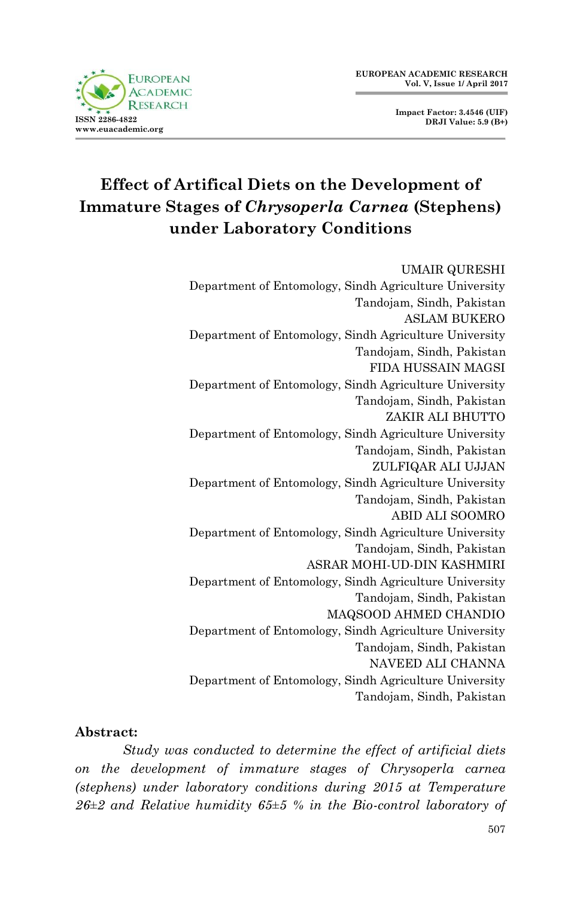

**Impact Factor: 3.4546 (UIF) DRJI Value: 5.9 (B+)**

# **Effect of Artifical Diets on the Development of Immature Stages of** *Chrysoperla Carnea* **(Stephens) under Laboratory Conditions**

#### UMAIR QURESHI

Department of Entomology, Sindh Agriculture University Tandojam, Sindh, Pakistan ASLAM BUKERO Department of Entomology, Sindh Agriculture University Tandojam, Sindh, Pakistan FIDA HUSSAIN MAGSI Department of Entomology, Sindh Agriculture University Tandojam, Sindh, Pakistan ZAKIR ALI BHUTTO Department of Entomology, Sindh Agriculture University Tandojam, Sindh, Pakistan ZULFIQAR ALI UJJAN Department of Entomology, Sindh Agriculture University Tandojam, Sindh, Pakistan ABID ALI SOOMRO Department of Entomology, Sindh Agriculture University Tandojam, Sindh, Pakistan ASRAR MOHI-UD-DIN KASHMIRI Department of Entomology, Sindh Agriculture University Tandojam, Sindh, Pakistan MAQSOOD AHMED CHANDIO Department of Entomology, Sindh Agriculture University Tandojam, Sindh, Pakistan NAVEED ALI CHANNA Department of Entomology, Sindh Agriculture University Tandojam, Sindh, Pakistan

#### **Abstract:**

*Study was conducted to determine the effect of artificial diets on the development of immature stages of Chrysoperla carnea (stephens) under laboratory conditions during 2015 at Temperature 26±2 and Relative humidity 65±5 % in the Bio-control laboratory of*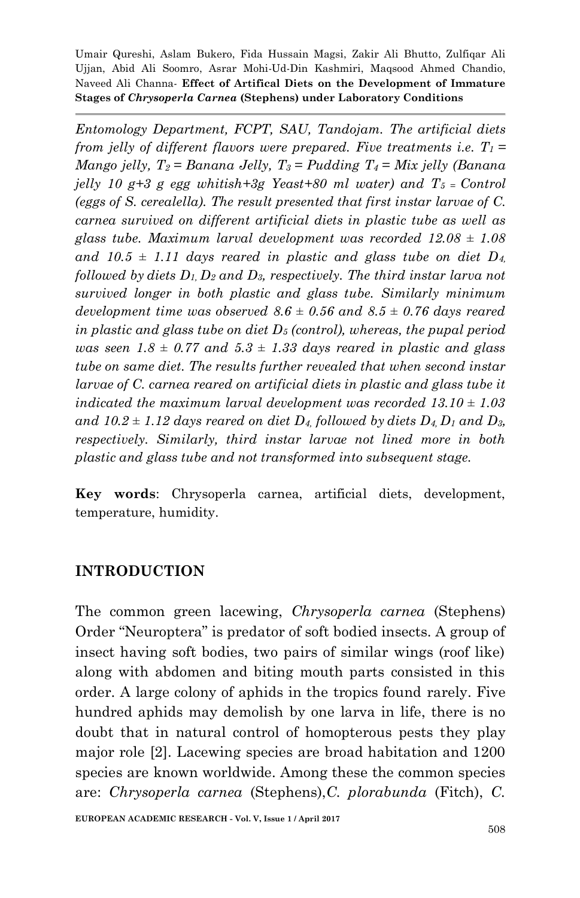*Entomology Department, FCPT, SAU, Tandojam. The artificial diets from jelly of different flavors were prepared. Five treatments i.e.*  $T_1 =$ *Mango jelly, T2 = Banana Jelly, T3 = Pudding T4 = Mix jelly (Banana jelly 10 g+3 g egg whitish+3g Yeast+80 ml water) and T5 = Control (eggs of S. cerealella). The result presented that first instar larvae of C. carnea survived on different artificial diets in plastic tube as well as glass tube. Maximum larval development was recorded 12.08 ± 1.08*  and  $10.5 \pm 1.11$  days reared in plastic and glass tube on diet  $D_4$ , *followed by diets D1, D<sup>2</sup> and D3, respectively. The third instar larva not survived longer in both plastic and glass tube. Similarly minimum development time was observed*  $8.6 \pm 0.56$  and  $8.5 \pm 0.76$  days reared *in plastic and glass tube on diet D<sup>5</sup> (control), whereas, the pupal period was seen*  $1.8 \pm 0.77$  *and*  $5.3 \pm 1.33$  *days reared in plastic and glass tube on same diet. The results further revealed that when second instar larvae of C. carnea reared on artificial diets in plastic and glass tube it indicated the maximum larval development was recorded 13.10 ± 1.03 and*  $10.2 \pm 1.12$  *days reared on diet*  $D_4$  *followed by diets*  $D_4$ ,  $D_1$  *and*  $D_3$ *, respectively. Similarly, third instar larvae not lined more in both plastic and glass tube and not transformed into subsequent stage.* 

**Key words**: Chrysoperla carnea, artificial diets, development, temperature, humidity.

#### **INTRODUCTION**

The common green lacewing, *Chrysoperla carnea* (Stephens) Order "Neuroptera" is predator of soft bodied insects. A group of insect having soft bodies, two pairs of similar wings (roof like) along with abdomen and biting mouth parts consisted in this order. A large colony of aphids in the tropics found rarely. Five hundred aphids may demolish by one larva in life, there is no doubt that in natural control of homopterous pests they play major role [2]. Lacewing species are broad habitation and 1200 species are known worldwide. Among these the common species are: *Chrysoperla carnea* (Stephens),*C. plorabunda* (Fitch), *C.*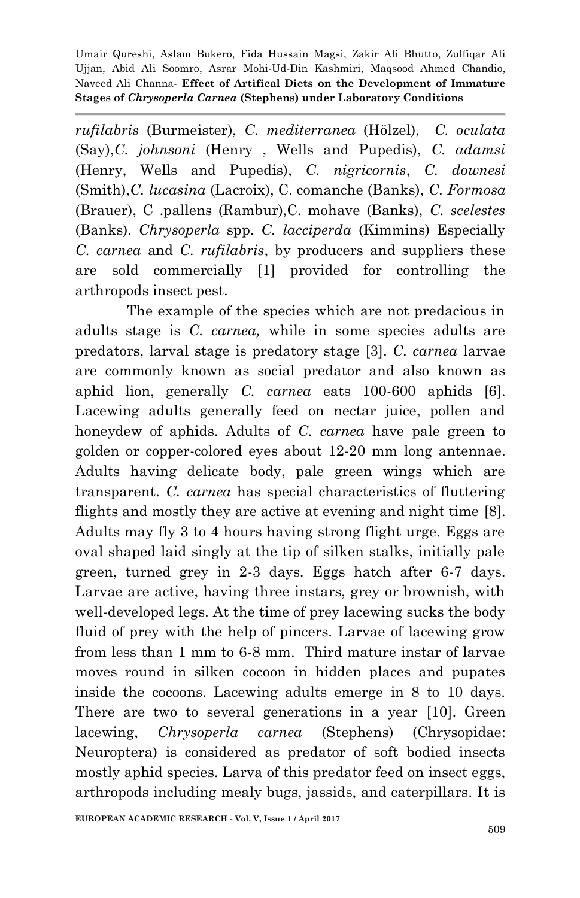*rufilabris* (Burmeister), *C. mediterranea* (Hölzel), *C. oculata* (Say),*C. johnsoni* (Henry , Wells and Pupedis), *C. adamsi* (Henry, Wells and Pupedis), *C. nigricornis*, *C. downesi* (Smith),*C. lucasina* (Lacroix), C. comanche (Banks), *C. Formosa* (Brauer), C .pallens (Rambur),C. mohave (Banks), *C. scelestes*  (Banks). *Chrysoperla* spp. *C. lacciperda* (Kimmins) Especially *C. carnea* and *C. rufilabris*, by producers and suppliers these are sold commercially [1] provided for controlling the arthropods insect pest.

The example of the species which are not predacious in adults stage is *C. carnea,* while in some species adults are predators, larval stage is predatory stage [3]. *C. carnea* larvae are commonly known as social predator and also known as aphid lion, generally *C. carnea* eats 100-600 aphids [6]. Lacewing adults generally feed on nectar juice, pollen and honeydew of aphids. Adults of *C. carnea* have pale green to golden or copper-colored eyes about 12-20 mm long antennae. Adults having delicate body, pale green wings which are transparent. *C. carnea* has special characteristics of fluttering flights and mostly they are active at evening and night time [8]. Adults may fly 3 to 4 hours having strong flight urge. Eggs are oval shaped laid singly at the tip of silken stalks, initially pale green, turned grey in 2-3 days. Eggs hatch after 6-7 days. Larvae are active, having three instars, grey or brownish, with well-developed legs. At the time of prey lacewing sucks the body fluid of prey with the help of pincers. Larvae of lacewing grow from less than 1 mm to 6-8 mm. Third mature instar of larvae moves round in silken cocoon in hidden places and pupates inside the cocoons. Lacewing adults emerge in 8 to 10 days. There are two to several generations in a year [10]. Green lacewing, *Chrysoperla carnea* (Stephens) (Chrysopidae: Neuroptera) is considered as predator of soft bodied insects mostly aphid species. Larva of this predator feed on insect eggs, arthropods including mealy bugs, jassids, and caterpillars. It is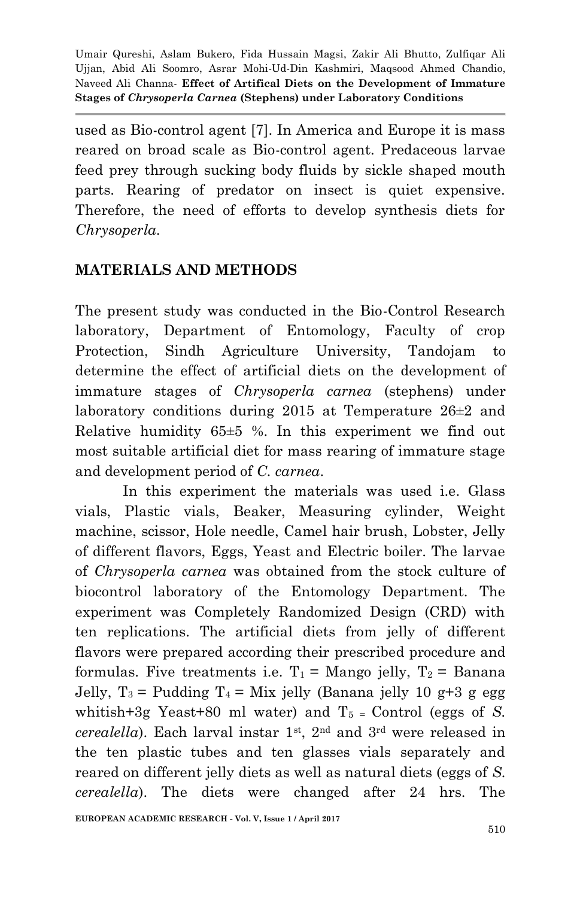used as Bio-control agent [7]. In America and Europe it is mass reared on broad scale as Bio-control agent. Predaceous larvae feed prey through sucking body fluids by sickle shaped mouth parts. Rearing of predator on insect is quiet expensive. Therefore, the need of efforts to develop synthesis diets for *Chrysoperla.*

#### **MATERIALS AND METHODS**

The present study was conducted in the Bio-Control Research laboratory, Department of Entomology, Faculty of crop Protection, Sindh Agriculture University, Tandojam to determine the effect of artificial diets on the development of immature stages of *Chrysoperla carnea* (stephens) under laboratory conditions during 2015 at Temperature 26±2 and Relative humidity 65±5 %. In this experiment we find out most suitable artificial diet for mass rearing of immature stage and development period of *C. carnea*.

In this experiment the materials was used i.e. Glass vials, Plastic vials, Beaker, Measuring cylinder, Weight machine, scissor, Hole needle, Camel hair brush, Lobster, Jelly of different flavors, Eggs, Yeast and Electric boiler. The larvae of *Chrysoperla carnea* was obtained from the stock culture of biocontrol laboratory of the Entomology Department. The experiment was Completely Randomized Design (CRD) with ten replications. The artificial diets from jelly of different flavors were prepared according their prescribed procedure and formulas. Five treatments i.e.  $T_1$  = Mango jelly,  $T_2$  = Banana Jelly,  $T_3$  = Pudding  $T_4$  = Mix jelly (Banana jelly 10 g+3 g egg whitish+3g Yeast+80 ml water) and  $T_5$  = Control (eggs of *S*. *cerealella*). Each larval instar  $1^{st}$ ,  $2^{nd}$  and  $3^{rd}$  were released in the ten plastic tubes and ten glasses vials separately and reared on different jelly diets as well as natural diets (eggs of *S. cerealella*). The diets were changed after 24 hrs. The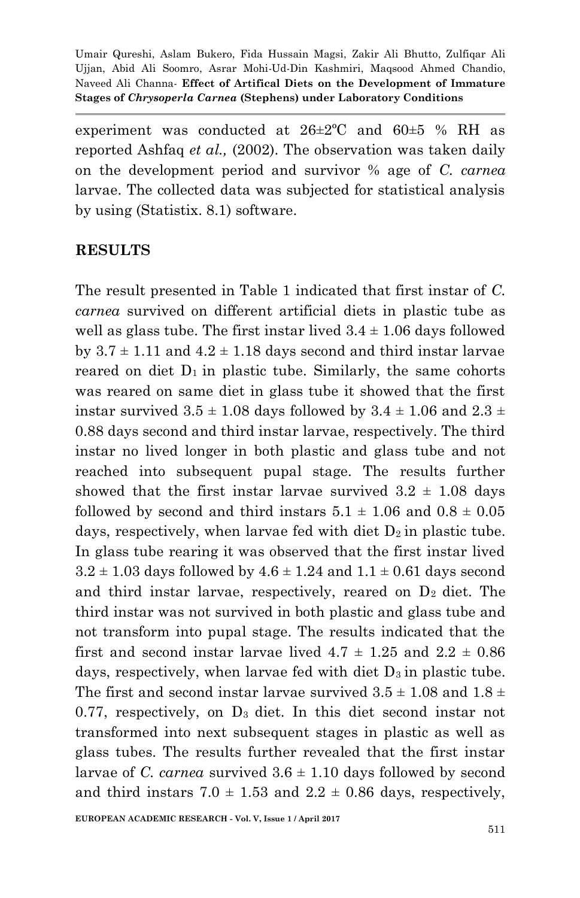experiment was conducted at  $26\pm2$ °C and  $60\pm5$  % RH as reported Ashfaq *et al.,* (2002). The observation was taken daily on the development period and survivor % age of *C. carnea* larvae. The collected data was subjected for statistical analysis by using (Statistix. 8.1) software.

#### **RESULTS**

The result presented in Table 1 indicated that first instar of *C. carnea* survived on different artificial diets in plastic tube as well as glass tube. The first instar lived  $3.4 \pm 1.06$  days followed by  $3.7 \pm 1.11$  and  $4.2 \pm 1.18$  days second and third instar larvae reared on diet  $D_1$  in plastic tube. Similarly, the same cohorts was reared on same diet in glass tube it showed that the first instar survived  $3.5 \pm 1.08$  days followed by  $3.4 \pm 1.06$  and  $2.3 \pm 1.06$ 0.88 days second and third instar larvae, respectively. The third instar no lived longer in both plastic and glass tube and not reached into subsequent pupal stage. The results further showed that the first instar larvae survived  $3.2 \pm 1.08$  days followed by second and third instars  $5.1 \pm 1.06$  and  $0.8 \pm 0.05$ days, respectively, when larvae fed with diet  $D_2$  in plastic tube. In glass tube rearing it was observed that the first instar lived  $3.2 \pm 1.03$  days followed by  $4.6 \pm 1.24$  and  $1.1 \pm 0.61$  days second and third instar larvae, respectively, reared on  $D_2$  diet. The third instar was not survived in both plastic and glass tube and not transform into pupal stage. The results indicated that the first and second instar larvae lived  $4.7 \pm 1.25$  and  $2.2 \pm 0.86$ days, respectively, when larvae fed with diet  $D_3$  in plastic tube. The first and second instar larvae survived  $3.5 \pm 1.08$  and  $1.8 \pm 1.08$  $0.77$ , respectively, on  $D_3$  diet. In this diet second instar not transformed into next subsequent stages in plastic as well as glass tubes. The results further revealed that the first instar larvae of *C. carnea* survived  $3.6 \pm 1.10$  days followed by second and third instars  $7.0 \pm 1.53$  and  $2.2 \pm 0.86$  days, respectively,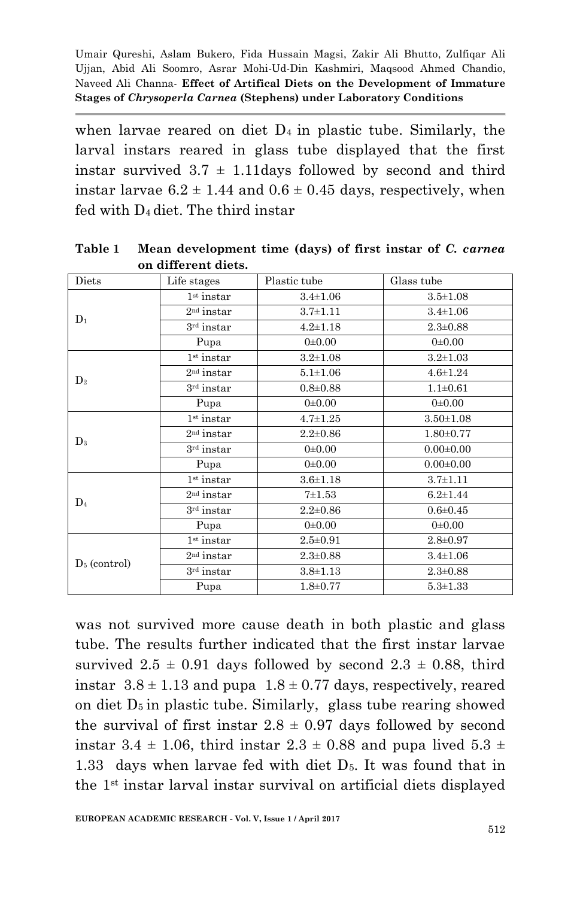when larvae reared on diet  $D_4$  in plastic tube. Similarly, the larval instars reared in glass tube displayed that the first instar survived  $3.7 \pm 1.11$  days followed by second and third instar larvae  $6.2 \pm 1.44$  and  $0.6 \pm 0.45$  days, respectively, when fed with D4 diet. The third instar

| Diets           | Life stages            | Plastic tube   | Glass tube      |
|-----------------|------------------------|----------------|-----------------|
| $D_1$           | $1st$ instar           | $3.4 \pm 1.06$ | $3.5 \pm 1.08$  |
|                 | $2nd$ instar           | $3.7 + 1.11$   | $3.4 \pm 1.06$  |
|                 | 3rd instar             | $4.2 \pm 1.18$ | $2.3 \pm 0.88$  |
|                 | Pupa                   | 0.0010         | 0.0010          |
| D <sub>2</sub>  | $1st$ instar           | $3.2 + 1.08$   | $3.2 \pm 1.03$  |
|                 | $2nd$ instar           | $5.1 + 1.06$   | $4.6 \pm 1.24$  |
|                 | $3rd$ instar           | $0.8 + 0.88$   | $1.1 \pm 0.61$  |
|                 | Pupa                   | 0.0010         | $0 \pm 0.00$    |
| $\mathbf{D}_3$  | $1st$ instar           | $4.7 \pm 1.25$ | $3.50 \pm 1.08$ |
|                 | $2nd$ instar           | $2.2 \pm 0.86$ | $1.80 \pm 0.77$ |
|                 | 3rd instar             | 0.0010         | $0.00 \pm 0.00$ |
|                 | Pupa                   | 0.0010         | $0.00 \pm 0.00$ |
| $D_4$           | $1st$ instar           | $3.6 + 1.18$   | $3.7 + 1.11$    |
|                 | $2nd$ instar           | $7 + 1.53$     | $6.2 \pm 1.44$  |
|                 | $3rd$ instar           | $2.2 \pm 0.86$ | $0.6 + 0.45$    |
|                 | Pupa                   | 0.0010         | 0.0010          |
| $D_5$ (control) | 1 <sup>st</sup> instar | $2.5 \pm 0.91$ | $2.8 \pm 0.97$  |
|                 | $2nd$ instar           | $2.3 \pm 0.88$ | $3.4 \pm 1.06$  |
|                 | $3rd$ instar           | $3.8 \pm 1.13$ | $2.3 \pm 0.88$  |
|                 | Pupa                   | $1.8 + 0.77$   | $5.3 \pm 1.33$  |

**Table 1 Mean development time (days) of first instar of** *C. carnea* **on different diets.**

was not survived more cause death in both plastic and glass tube. The results further indicated that the first instar larvae survived  $2.5 \pm 0.91$  days followed by second  $2.3 \pm 0.88$ , third instar  $3.8 \pm 1.13$  and pupa  $1.8 \pm 0.77$  days, respectively, reared on diet  $D_5$  in plastic tube. Similarly, glass tube rearing showed the survival of first instar  $2.8 \pm 0.97$  days followed by second instar 3.4  $\pm$  1.06, third instar 2.3  $\pm$  0.88 and pupa lived 5.3  $\pm$ 1.33 days when larvae fed with diet  $D_5$ . It was found that in the 1st instar larval instar survival on artificial diets displayed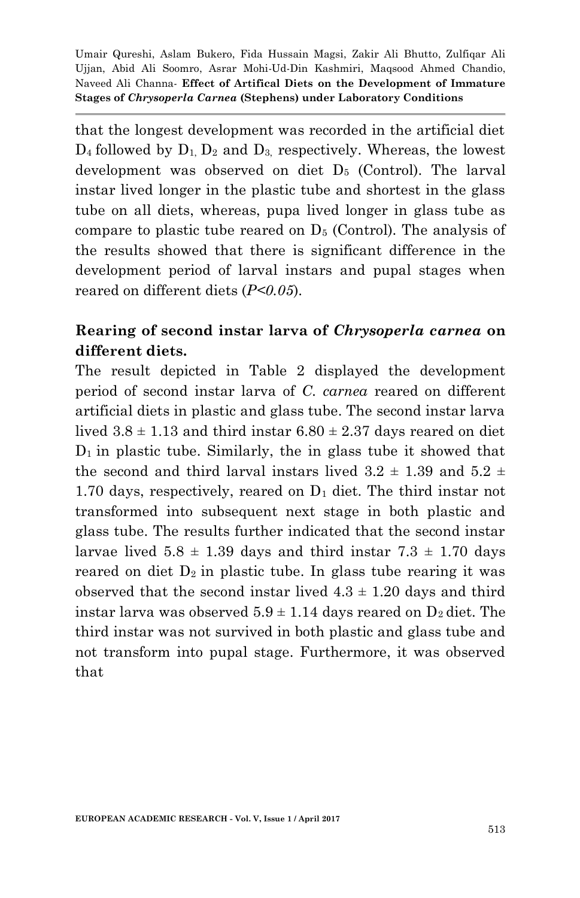that the longest development was recorded in the artificial diet  $D_4$  followed by  $D_1$ ,  $D_2$  and  $D_3$ , respectively. Whereas, the lowest development was observed on diet D<sup>5</sup> (Control). The larval instar lived longer in the plastic tube and shortest in the glass tube on all diets, whereas, pupa lived longer in glass tube as compare to plastic tube reared on  $D_5$  (Control). The analysis of the results showed that there is significant difference in the development period of larval instars and pupal stages when reared on different diets (*P<0.05*).

## **Rearing of second instar larva of** *Chrysoperla carnea* **on different diets.**

The result depicted in Table 2 displayed the development period of second instar larva of *C. carnea* reared on different artificial diets in plastic and glass tube. The second instar larva lived  $3.8 \pm 1.13$  and third instar  $6.80 \pm 2.37$  days reared on diet  $D_1$  in plastic tube. Similarly, the in glass tube it showed that the second and third larval instars lived  $3.2 \pm 1.39$  and  $5.2 \pm 1.39$ 1.70 days, respectively, reared on D<sup>1</sup> diet. The third instar not transformed into subsequent next stage in both plastic and glass tube. The results further indicated that the second instar larvae lived  $5.8 \pm 1.39$  days and third instar  $7.3 \pm 1.70$  days reared on diet  $D_2$  in plastic tube. In glass tube rearing it was observed that the second instar lived  $4.3 \pm 1.20$  days and third instar larva was observed  $5.9 \pm 1.14$  days reared on  $D_2$  diet. The third instar was not survived in both plastic and glass tube and not transform into pupal stage. Furthermore, it was observed that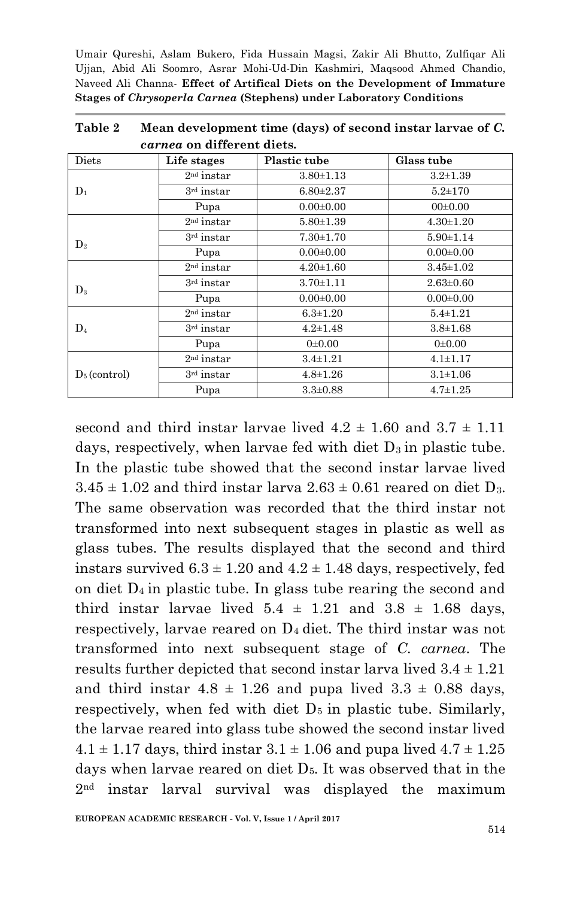| Diets           | Life stages  | <b>Plastic tube</b> | Glass tube      |
|-----------------|--------------|---------------------|-----------------|
| $D_1$           | $2nd$ instar | $3.80 \pm 1.13$     | $3.2 \pm 1.39$  |
|                 | $3rd$ instar | $6.80 \pm 2.37$     | $5.2 \pm 170$   |
|                 | Pupa         | $0.00 \pm 0.00$     | $00\pm 0.00$    |
| D <sub>2</sub>  | $2nd$ instar | $5.80 \pm 1.39$     | $4.30 \pm 1.20$ |
|                 | $3rd$ instar | $7.30 \pm 1.70$     | $5.90 \pm 1.14$ |
|                 | Pupa         | $0.00 \pm 0.00$     | $0.00 \pm 0.00$ |
|                 | $2nd$ instar | $4.20 \pm 1.60$     | $3.45 \pm 1.02$ |
| $D_3$           | 3rd instar   | $3.70 \pm 1.11$     | $2.63 \pm 0.60$ |
|                 | Pupa         | $0.00 \pm 0.00$     | $0.00 \pm 0.00$ |
| $\mathbf{D}_4$  | $2nd$ instar | $6.3 \pm 1.20$      | $5.4 \pm 1.21$  |
|                 | $3rd$ instar | $4.2 \pm 1.48$      | $3.8 \pm 1.68$  |
|                 | Pupa         | $0 \pm 0.00$        | $0 \pm 0.00$    |
| $D_5$ (control) | $2nd$ instar | $3.4 \pm 1.21$      | $4.1 \pm 1.17$  |
|                 | $3rd$ instar | $4.8 \pm 1.26$      | $3.1 \pm 1.06$  |
|                 | Pupa         | $3.3 \pm 0.88$      | $4.7 \pm 1.25$  |

**Table 2 Mean development time (days) of second instar larvae of** *C. carnea* **on different diets.**

second and third instar larvae lived  $4.2 \pm 1.60$  and  $3.7 \pm 1.11$ days, respectively, when larvae fed with diet  $D_3$  in plastic tube. In the plastic tube showed that the second instar larvae lived  $3.45 \pm 1.02$  and third instar larva  $2.63 \pm 0.61$  reared on diet D<sub>3</sub>. The same observation was recorded that the third instar not transformed into next subsequent stages in plastic as well as glass tubes. The results displayed that the second and third instars survived  $6.3 \pm 1.20$  and  $4.2 \pm 1.48$  days, respectively, fed on diet  $D_4$  in plastic tube. In glass tube rearing the second and third instar larvae lived  $5.4 \pm 1.21$  and  $3.8 \pm 1.68$  days, respectively, larvae reared on  $D_4$  diet. The third instar was not transformed into next subsequent stage of *C. carnea*. The results further depicted that second instar larva lived  $3.4 \pm 1.21$ and third instar  $4.8 \pm 1.26$  and pupa lived  $3.3 \pm 0.88$  days, respectively, when fed with diet  $D_5$  in plastic tube. Similarly, the larvae reared into glass tube showed the second instar lived  $4.1 \pm 1.17$  days, third instar  $3.1 \pm 1.06$  and pupa lived  $4.7 \pm 1.25$ days when larvae reared on diet  $D<sub>5</sub>$ . It was observed that in the 2nd instar larval survival was displayed the maximum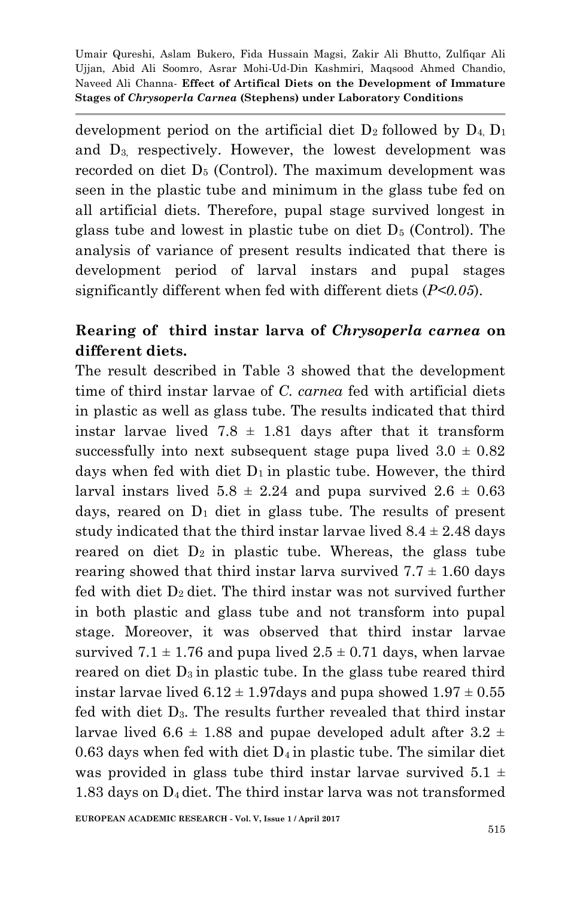development period on the artificial diet  $D_2$  followed by  $D_4$ ,  $D_1$ and  $D_3$  respectively. However, the lowest development was recorded on diet D<sup>5</sup> (Control). The maximum development was seen in the plastic tube and minimum in the glass tube fed on all artificial diets. Therefore, pupal stage survived longest in glass tube and lowest in plastic tube on diet  $D_5$  (Control). The analysis of variance of present results indicated that there is development period of larval instars and pupal stages significantly different when fed with different diets (*P<0.05*).

## **Rearing of third instar larva of** *Chrysoperla carnea* **on different diets.**

The result described in Table 3 showed that the development time of third instar larvae of *C. carnea* fed with artificial diets in plastic as well as glass tube. The results indicated that third instar larvae lived 7.8  $\pm$  1.81 days after that it transform successfully into next subsequent stage pupa lived  $3.0 \pm 0.82$ days when fed with diet  $D_1$  in plastic tube. However, the third larval instars lived  $5.8 \pm 2.24$  and pupa survived  $2.6 \pm 0.63$ days, reared on  $D_1$  diet in glass tube. The results of present study indicated that the third instar larvae lived  $8.4 \pm 2.48$  days reared on diet  $D_2$  in plastic tube. Whereas, the glass tube rearing showed that third instar larva survived  $7.7 \pm 1.60$  days fed with diet  $D_2$  diet. The third instar was not survived further in both plastic and glass tube and not transform into pupal stage. Moreover, it was observed that third instar larvae survived  $7.1 \pm 1.76$  and pupa lived  $2.5 \pm 0.71$  days, when larvae reared on diet  $D_3$  in plastic tube. In the glass tube reared third instar larvae lived  $6.12 \pm 1.97$ days and pupa showed  $1.97 \pm 0.55$ fed with diet D3. The results further revealed that third instar larvae lived 6.6  $\pm$  1.88 and pupae developed adult after 3.2  $\pm$ 0.63 days when fed with diet  $D_4$  in plastic tube. The similar diet was provided in glass tube third instar larvae survived  $5.1 \pm$ 1.83 days on D4 diet. The third instar larva was not transformed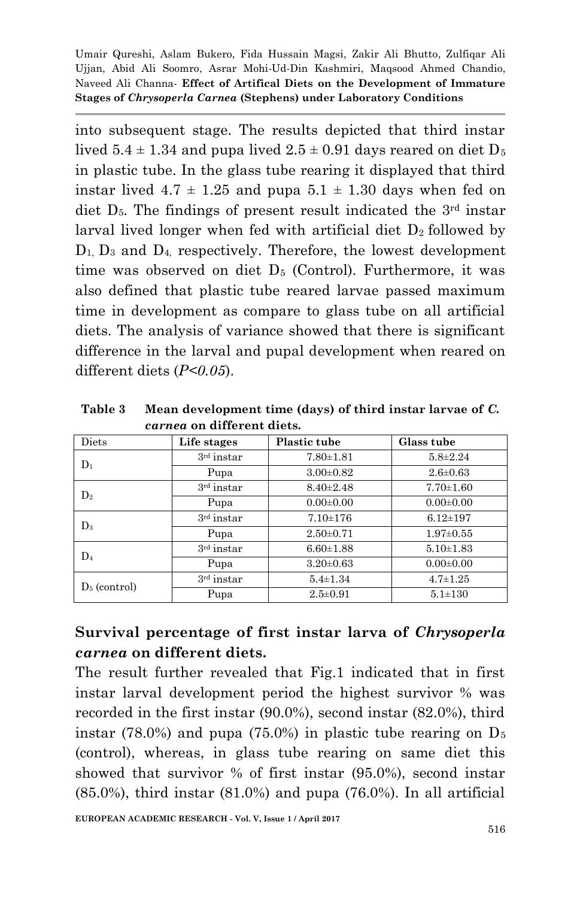into subsequent stage. The results depicted that third instar lived  $5.4 \pm 1.34$  and pupa lived  $2.5 \pm 0.91$  days reared on diet  $D_5$ in plastic tube. In the glass tube rearing it displayed that third instar lived  $4.7 \pm 1.25$  and pupa  $5.1 \pm 1.30$  days when fed on diet  $D_5$ . The findings of present result indicated the  $3<sup>rd</sup>$  instar larval lived longer when fed with artificial diet  $D_2$  followed by  $D_1$ ,  $D_3$  and  $D_4$ , respectively. Therefore, the lowest development time was observed on diet D<sub>5</sub> (Control). Furthermore, it was also defined that plastic tube reared larvae passed maximum time in development as compare to glass tube on all artificial diets. The analysis of variance showed that there is significant difference in the larval and pupal development when reared on different diets (*P<0.05*).

**Table 3 Mean development time (days) of third instar larvae of** *C. carnea* **on different diets.**

| Diets           | Life stages  | <b>Plastic tube</b> | Glass tube      |
|-----------------|--------------|---------------------|-----------------|
| $D_1$           | $3rd$ instar | $7.80 \pm 1.81$     | $5.8\pm2.24$    |
|                 | Pupa         | $3.00 \pm 0.82$     | $2.6 \pm 0.63$  |
| $\mathrm{D}_2$  | $3rd$ instar | $8.40 \pm 2.48$     | $7.70 \pm 1.60$ |
|                 | Pupa         | $0.00 \pm 0.00$     | $0.00 \pm 0.00$ |
| $D_3$           | $3rd$ instar | $7.10 \pm 176$      | $6.12 \pm 197$  |
|                 | Pupa         | $2.50 \pm 0.71$     | $1.97 \pm 0.55$ |
| $\mathrm{D}_4$  | $3rd$ instar | $6.60 \pm 1.88$     | $5.10 \pm 1.83$ |
|                 | Pupa         | $3.20 \pm 0.63$     | $0.00 \pm 0.00$ |
| $D_5$ (control) | $3rd$ instar | $5.4 \pm 1.34$      | $4.7 \pm 1.25$  |
|                 | Pupa         | $2.5 \pm 0.91$      | $5.1 \pm 130$   |

### **Survival percentage of first instar larva of** *Chrysoperla carnea* **on different diets.**

The result further revealed that Fig.1 indicated that in first instar larval development period the highest survivor % was recorded in the first instar (90.0%), second instar (82.0%), third instar (78.0%) and pupa (75.0%) in plastic tube rearing on  $D_5$ (control), whereas, in glass tube rearing on same diet this showed that survivor % of first instar (95.0%), second instar (85.0%), third instar (81.0%) and pupa (76.0%). In all artificial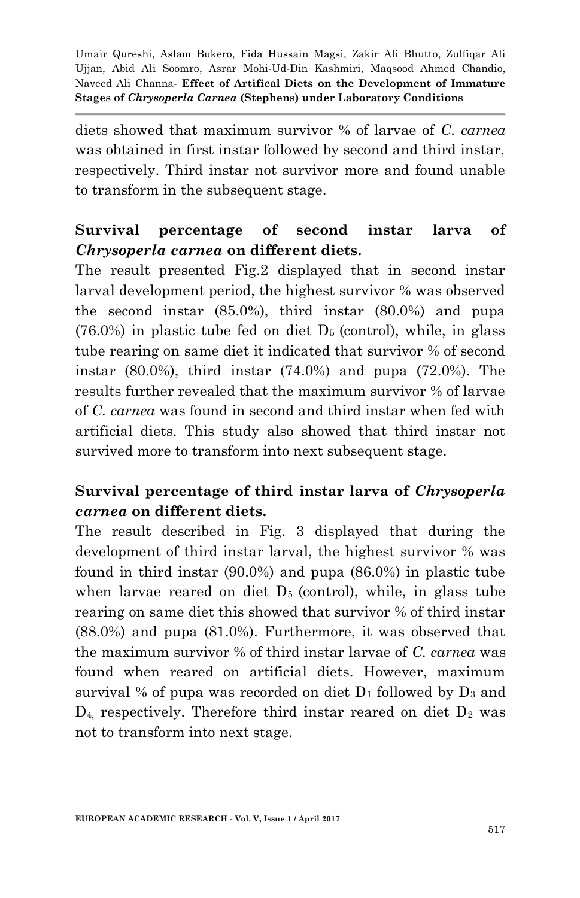diets showed that maximum survivor % of larvae of *C. carnea* was obtained in first instar followed by second and third instar, respectively. Third instar not survivor more and found unable to transform in the subsequent stage.

### **Survival percentage of second instar larva of**  *Chrysoperla carnea* **on different diets.**

The result presented Fig.2 displayed that in second instar larval development period, the highest survivor % was observed the second instar (85.0%), third instar (80.0%) and pupa  $(76.0%)$  in plastic tube fed on diet  $D<sub>5</sub>$  (control), while, in glass tube rearing on same diet it indicated that survivor % of second instar (80.0%), third instar (74.0%) and pupa (72.0%). The results further revealed that the maximum survivor % of larvae of *C. carnea* was found in second and third instar when fed with artificial diets. This study also showed that third instar not survived more to transform into next subsequent stage.

### **Survival percentage of third instar larva of** *Chrysoperla carnea* **on different diets.**

The result described in Fig. 3 displayed that during the development of third instar larval, the highest survivor % was found in third instar (90.0%) and pupa (86.0%) in plastic tube when larvae reared on diet  $D_5$  (control), while, in glass tube rearing on same diet this showed that survivor % of third instar (88.0%) and pupa (81.0%). Furthermore, it was observed that the maximum survivor % of third instar larvae of *C. carnea* was found when reared on artificial diets. However, maximum survival % of pupa was recorded on diet  $D_1$  followed by  $D_3$  and  $D_4$ , respectively. Therefore third instar reared on diet  $D_2$  was not to transform into next stage.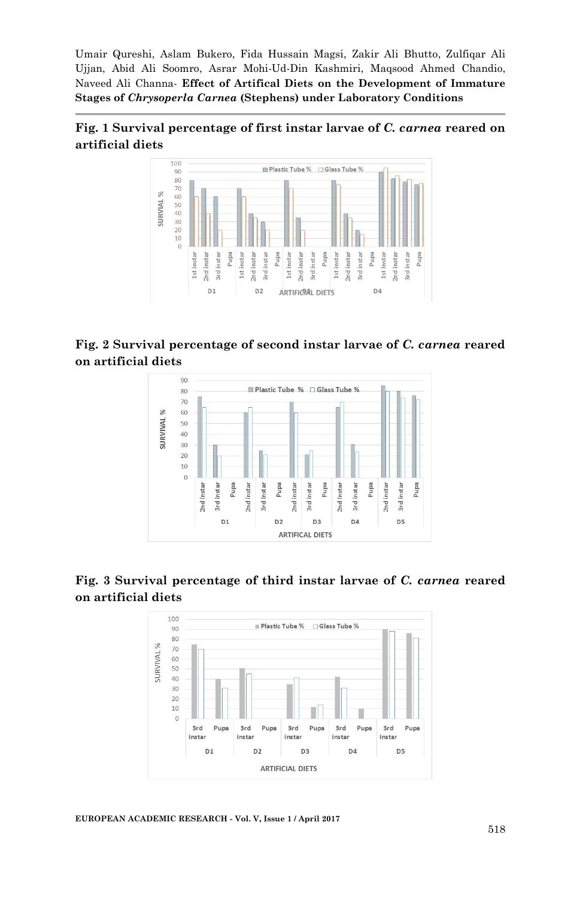



**Fig. 2 Survival percentage of second instar larvae of** *C. carnea* **reared on artificial diets**



#### **Fig. 3 Survival percentage of third instar larvae of** *C. carnea* **reared on artificial diets**

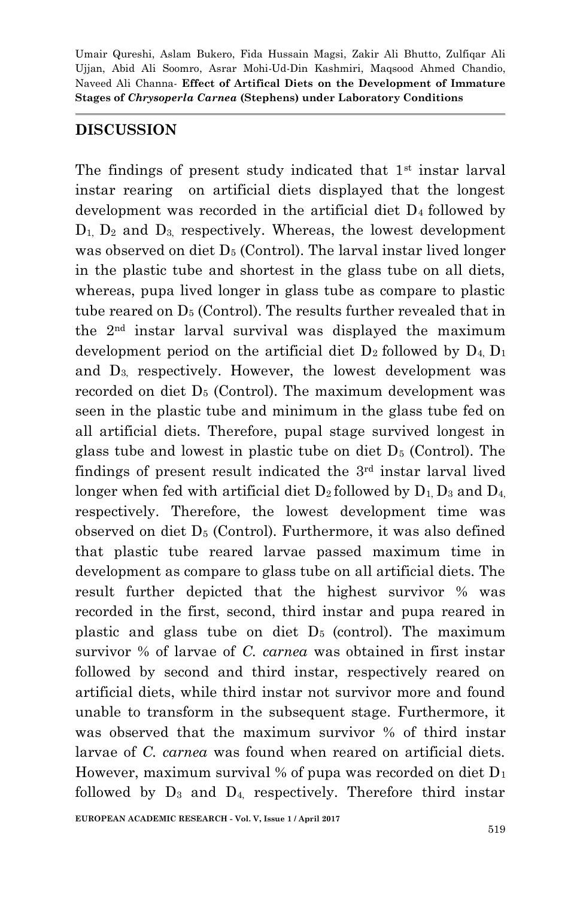#### **DISCUSSION**

The findings of present study indicated that 1<sup>st</sup> instar larval instar rearing on artificial diets displayed that the longest development was recorded in the artificial diet  $D_4$  followed by  $D_1$ ,  $D_2$  and  $D_3$ , respectively. Whereas, the lowest development was observed on diet  $D_5$  (Control). The larval instar lived longer in the plastic tube and shortest in the glass tube on all diets, whereas, pupa lived longer in glass tube as compare to plastic tube reared on  $D_5$  (Control). The results further revealed that in the 2nd instar larval survival was displayed the maximum development period on the artificial diet  $D_2$  followed by  $D_4$ ,  $D_1$ and D3, respectively. However, the lowest development was recorded on diet  $D_5$  (Control). The maximum development was seen in the plastic tube and minimum in the glass tube fed on all artificial diets. Therefore, pupal stage survived longest in glass tube and lowest in plastic tube on diet  $D<sub>5</sub>$  (Control). The findings of present result indicated the 3rd instar larval lived longer when fed with artificial diet  $D_2$  followed by  $D_1$ ,  $D_3$  and  $D_4$ , respectively. Therefore, the lowest development time was observed on diet D<sup>5</sup> (Control). Furthermore, it was also defined that plastic tube reared larvae passed maximum time in development as compare to glass tube on all artificial diets. The result further depicted that the highest survivor % was recorded in the first, second, third instar and pupa reared in plastic and glass tube on diet  $D_5$  (control). The maximum survivor % of larvae of *C. carnea* was obtained in first instar followed by second and third instar, respectively reared on artificial diets, while third instar not survivor more and found unable to transform in the subsequent stage. Furthermore, it was observed that the maximum survivor % of third instar larvae of *C. carnea* was found when reared on artificial diets. However, maximum survival % of pupa was recorded on diet  $D_1$ followed by  $D_3$  and  $D_4$ , respectively. Therefore third instar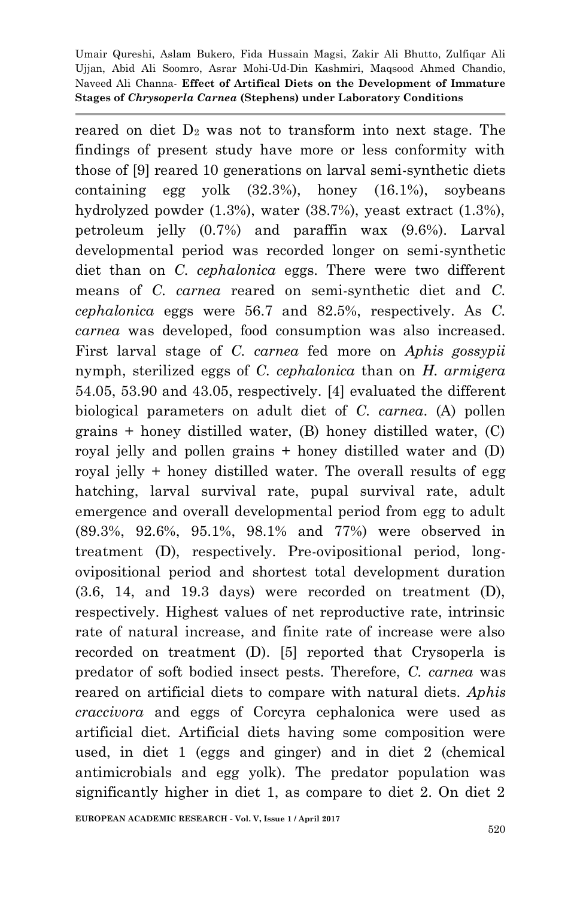reared on diet  $D_2$  was not to transform into next stage. The findings of present study have more or less conformity with those of [9] reared 10 generations on larval semi-synthetic diets containing egg yolk (32.3%), honey (16.1%), soybeans hydrolyzed powder (1.3%), water (38.7%), yeast extract (1.3%), petroleum jelly (0.7%) and paraffin wax (9.6%). Larval developmental period was recorded longer on semi-synthetic diet than on *C. cephalonica* eggs. There were two different means of *C. carnea* reared on semi-synthetic diet and *C. cephalonica* eggs were 56.7 and 82.5%, respectively. As *C. carnea* was developed, food consumption was also increased. First larval stage of *C. carnea* fed more on *Aphis gossypii* nymph, sterilized eggs of *C. cephalonica* than on *H. armigera* 54.05, 53.90 and 43.05, respectively. [4] evaluated the different biological parameters on adult diet of *C. carnea*. (A) pollen grains + honey distilled water, (B) honey distilled water, (C) royal jelly and pollen grains + honey distilled water and (D) royal jelly + honey distilled water. The overall results of egg hatching, larval survival rate, pupal survival rate, adult emergence and overall developmental period from egg to adult (89.3%, 92.6%, 95.1%, 98.1% and 77%) were observed in treatment (D), respectively. Pre-ovipositional period, longovipositional period and shortest total development duration (3.6, 14, and 19.3 days) were recorded on treatment (D), respectively. Highest values of net reproductive rate, intrinsic rate of natural increase, and finite rate of increase were also recorded on treatment (D). [5] reported that Crysoperla is predator of soft bodied insect pests. Therefore, *C. carnea* was reared on artificial diets to compare with natural diets. *Aphis craccivora* and eggs of Corcyra cephalonica were used as artificial diet. Artificial diets having some composition were used, in diet 1 (eggs and ginger) and in diet 2 (chemical antimicrobials and egg yolk). The predator population was significantly higher in diet 1, as compare to diet 2. On diet 2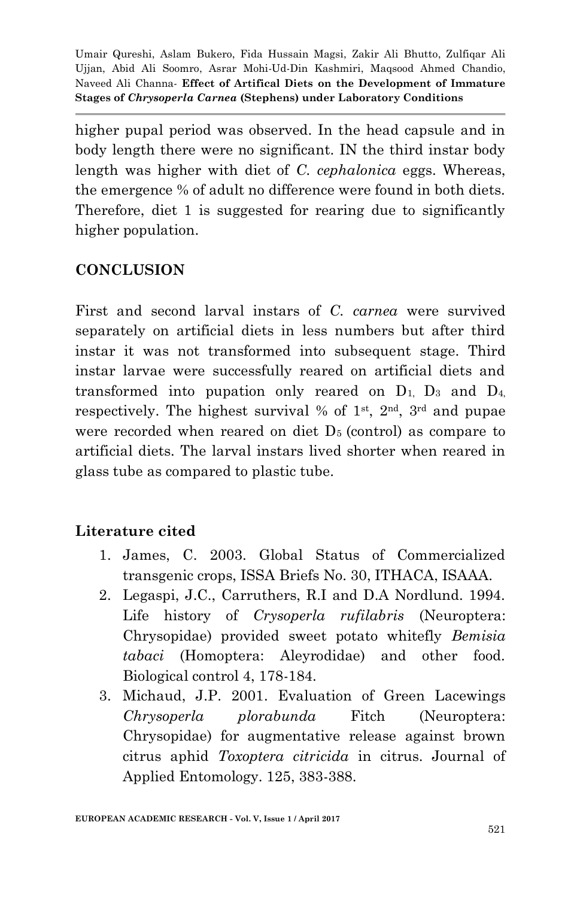higher pupal period was observed. In the head capsule and in body length there were no significant. IN the third instar body length was higher with diet of *C. cephalonica* eggs. Whereas, the emergence % of adult no difference were found in both diets. Therefore, diet 1 is suggested for rearing due to significantly higher population.

#### **CONCLUSION**

First and second larval instars of *C. carnea* were survived separately on artificial diets in less numbers but after third instar it was not transformed into subsequent stage. Third instar larvae were successfully reared on artificial diets and transformed into pupation only reared on  $D_1$ ,  $D_3$  and  $D_4$ . respectively. The highest survival % of  $1<sup>st</sup>$ ,  $2<sup>nd</sup>$ ,  $3<sup>rd</sup>$  and pupae were recorded when reared on diet  $D<sub>5</sub>$  (control) as compare to artificial diets. The larval instars lived shorter when reared in glass tube as compared to plastic tube.

## **Literature cited**

- 1. James, C. 2003. Global Status of Commercialized transgenic crops, ISSA Briefs No. 30, ITHACA, ISAAA.
- 2. Legaspi, J.C., Carruthers, R.I and D.A Nordlund. 1994. Life history of *Crysoperla rufilabris* (Neuroptera: Chrysopidae) provided sweet potato whitefly *Bemisia tabaci* (Homoptera: Aleyrodidae) and other food. Biological control 4, 178-184.
- 3. Michaud, J.P. 2001. Evaluation of Green Lacewings *Chrysoperla plorabunda* Fitch (Neuroptera: Chrysopidae) for augmentative release against brown citrus aphid *Toxoptera citricida* in citrus. Journal of Applied Entomology. 125, 383-388.